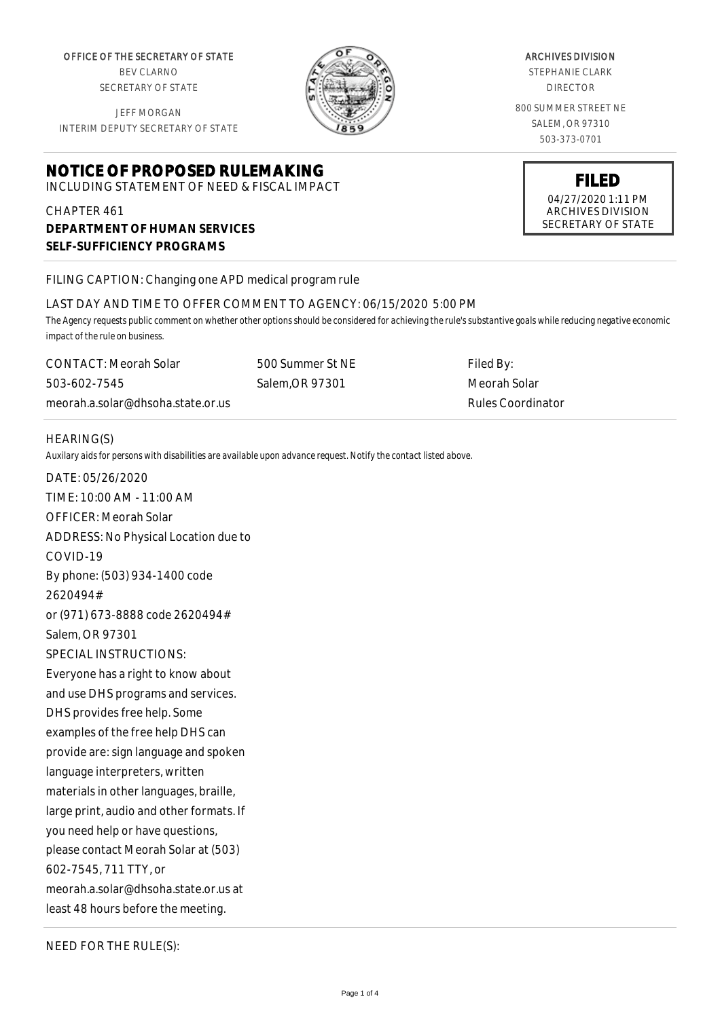OFFICE OF THE SECRETARY OF STATE BEV CLARNO

SECRETARY OF STATE

JEFF MORGAN INTERIM DEPUTY SECRETARY OF STATE

# **NOTICE OF PROPOSED RULEMAKING**

INCLUDING STATEMENT OF NEED & FISCAL IMPACT

# CHAPTER 461 **DEPARTMENT OF HUMAN SERVICES SELF-SUFFICIENCY PROGRAMS**

FILING CAPTION: Changing one APD medical program rule

#### LAST DAY AND TIME TO OFFER COMMENT TO AGENCY: 06/15/2020 5:00 PM

500 Summer St NE Salem,OR 97301

*The Agency requests public comment on whether other options should be considered for achieving the rule's substantive goals while reducing negative economic impact of the rule on business.*

CONTACT: Meorah Solar 503-602-7545 meorah.a.solar@dhsoha.state.or.us Filed By: Meorah Solar Rules Coordinator

#### HEARING(S)

*Auxilary aids for persons with disabilities are available upon advance request. Notify the contact listed above.*

DATE: 05/26/2020 TIME: 10:00 AM - 11:00 AM OFFICER: Meorah Solar ADDRESS: No Physical Location due to COVID-19 By phone: (503) 934-1400 code 2620494# or (971) 673-8888 code 2620494# Salem, OR 97301 SPECIAL INSTRUCTIONS: Everyone has a right to know about and use DHS programs and services. DHS provides free help. Some examples of the free help DHS can provide are: sign language and spoken language interpreters, written materials in other languages, braille, large print, audio and other formats. If you need help or have questions, please contact Meorah Solar at (503) 602-7545, 711 TTY, or meorah.a.solar@dhsoha.state.or.us at least 48 hours before the meeting.

NEED FOR THE RULE(S):



# ARCHIVES DIVISION

STEPHANIE CLARK DIRECTOR

800 SUMMER STREET NE SALEM, OR 97310 503-373-0701

**FILED** 04/27/2020 1:11 PM ARCHIVES DIVISION

SECRETARY OF STATE

Page 1 of 4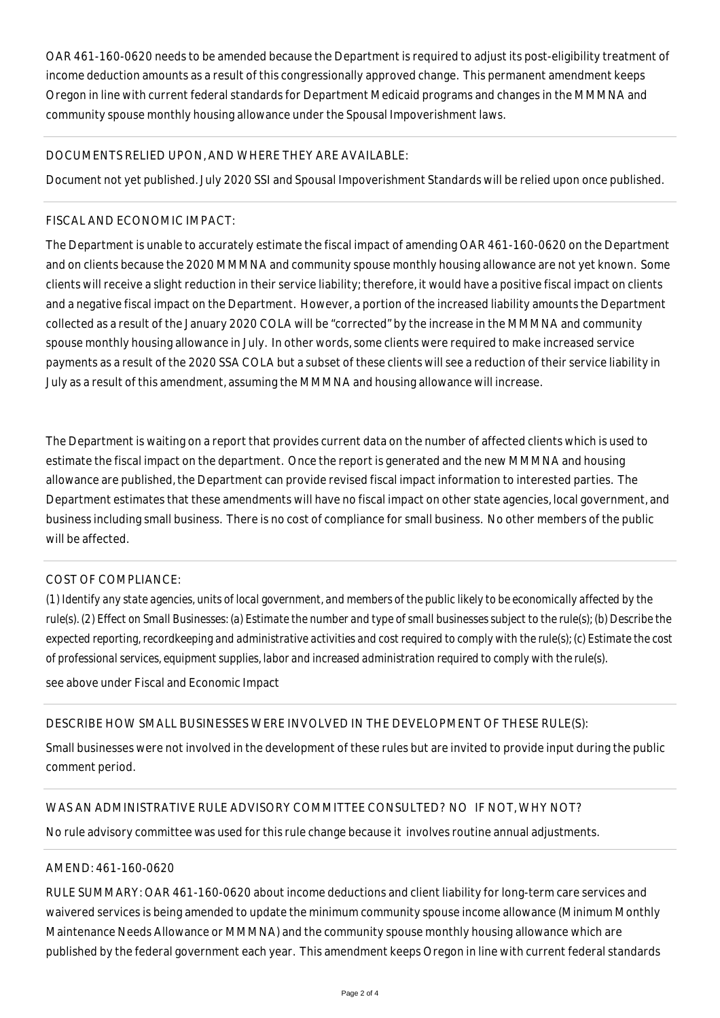OAR 461-160-0620 needs to be amended because the Department is required to adjust its post-eligibility treatment of income deduction amounts as a result of this congressionally approved change. This permanent amendment keeps Oregon in line with current federal standards for Department Medicaid programs and changes in the MMMNA and community spouse monthly housing allowance under the Spousal Impoverishment laws.

### DOCUMENTS RELIED UPON, AND WHERE THEY ARE AVAILABLE:

Document not yet published. July 2020 SSI and Spousal Impoverishment Standards will be relied upon once published.

#### FISCAL AND ECONOMIC IMPACT:

The Department is unable to accurately estimate the fiscal impact of amending OAR 461-160-0620 on the Department and on clients because the 2020 MMMNA and community spouse monthly housing allowance are not yet known. Some clients will receive a slight reduction in their service liability; therefore, it would have a positive fiscal impact on clients and a negative fiscal impact on the Department. However, a portion of the increased liability amounts the Department collected as a result of the January 2020 COLA will be "corrected" by the increase in the MMMNA and community spouse monthly housing allowance in July. In other words, some clients were required to make increased service payments as a result of the 2020 SSA COLA but a subset of these clients will see a reduction of their service liability in July as a result of this amendment, assuming the MMMNA and housing allowance will increase.

The Department is waiting on a report that provides current data on the number of affected clients which is used to estimate the fiscal impact on the department. Once the report is generated and the new MMMNA and housing allowance are published, the Department can provide revised fiscal impact information to interested parties. The Department estimates that these amendments will have no fiscal impact on other state agencies, local government, and business including small business. There is no cost of compliance for small business. No other members of the public will be affected.

# COST OF COMPLIANCE:

*(1) Identify any state agencies, units of local government, and members of the public likely to be economically affected by the rule(s). (2) Effect on Small Businesses: (a) Estimate the number and type of small businesses subject to the rule(s); (b) Describe the expected reporting, recordkeeping and administrative activities and cost required to comply with the rule(s); (c) Estimate the cost of professional services, equipment supplies, labor and increased administration required to comply with the rule(s).*

see above under Fiscal and Economic Impact

#### DESCRIBE HOW SMALL BUSINESSES WERE INVOLVED IN THE DEVELOPMENT OF THESE RULE(S):

Small businesses were not involved in the development of these rules but are invited to provide input during the public comment period.

# WAS AN ADMINISTRATIVE RULE ADVISORY COMMITTEE CONSULTED? NO IF NOT, WHY NOT?

No rule advisory committee was used for this rule change because it involves routine annual adjustments.

#### AMEND: 461-160-0620

RULE SUMMARY: OAR 461-160-0620 about income deductions and client liability for long-term care services and waivered services is being amended to update the minimum community spouse income allowance (Minimum Monthly Maintenance Needs Allowance or MMMNA) and the community spouse monthly housing allowance which are published by the federal government each year. This amendment keeps Oregon in line with current federal standards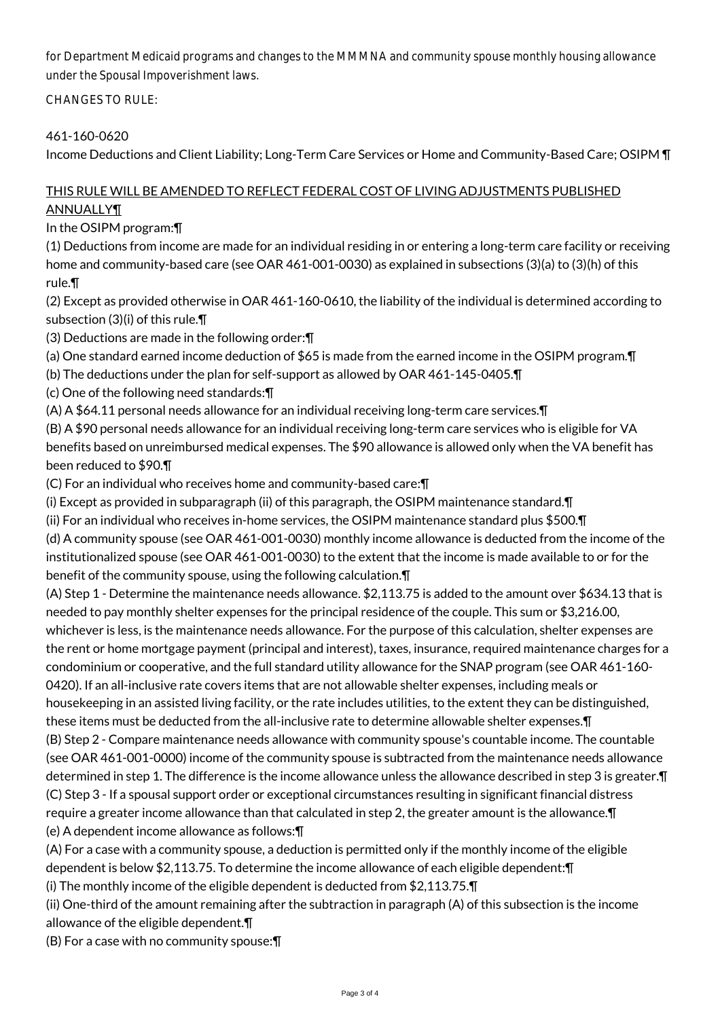for Department Medicaid programs and changes to the MMMNA and community spouse monthly housing allowance under the Spousal Impoverishment laws.

CHANGES TO RULE:

# 461-160-0620

Income Deductions and Client Liability; Long-Term Care Services or Home and Community-Based Care; OSIPM ¶

# THIS RULE WILL BE AMENDED TO REFLECT FEDERAL COST OF LIVING ADJUSTMENTS PUBLISHED **ANNUALLY¶**

In the OSIPM program:¶

(1) Deductions from income are made for an individual residing in or entering a long-term care facility or receiving home and community-based care (see OAR 461-001-0030) as explained in subsections (3)(a) to (3)(h) of this rule.¶

(2) Except as provided otherwise in OAR 461-160-0610, the liability of the individual is determined according to subsection (3)(i) of this rule.¶

(3) Deductions are made in the following order:¶

(a) One standard earned income deduction of \$65 is made from the earned income in the OSIPM program.¶

(b) The deductions under the plan for self-support as allowed by OAR 461-145-0405.¶

(c) One of the following need standards:¶

(A) A \$64.11 personal needs allowance for an individual receiving long-term care services.¶

(B) A \$90 personal needs allowance for an individual receiving long-term care services who is eligible for VA benefits based on unreimbursed medical expenses. The \$90 allowance is allowed only when the VA benefit has been reduced to \$90.¶

(C) For an individual who receives home and community-based care:¶

(i) Except as provided in subparagraph (ii) of this paragraph, the OSIPM maintenance standard.¶

(ii) For an individual who receives in-home services, the OSIPM maintenance standard plus \$500.¶

(d) A community spouse (see OAR 461-001-0030) monthly income allowance is deducted from the income of the institutionalized spouse (see OAR 461-001-0030) to the extent that the income is made available to or for the benefit of the community spouse, using the following calculation.¶

(A) Step 1 - Determine the maintenance needs allowance. \$2,113.75 is added to the amount over \$634.13 that is needed to pay monthly shelter expenses for the principal residence of the couple. This sum or \$3,216.00, whichever is less, is the maintenance needs allowance. For the purpose of this calculation, shelter expenses are the rent or home mortgage payment (principal and interest), taxes, insurance, required maintenance charges for a condominium or cooperative, and the full standard utility allowance for the SNAP program (see OAR 461-160- 0420). If an all-inclusive rate covers items that are not allowable shelter expenses, including meals or housekeeping in an assisted living facility, or the rate includes utilities, to the extent they can be distinguished, these items must be deducted from the all-inclusive rate to determine allowable shelter expenses.¶ (B) Step 2 - Compare maintenance needs allowance with community spouse's countable income. The countable (see OAR 461-001-0000) income of the community spouse is subtracted from the maintenance needs allowance determined in step 1. The difference is the income allowance unless the allowance described in step 3 is greater.¶ (C) Step 3 - If a spousal support order or exceptional circumstances resulting in significant financial distress require a greater income allowance than that calculated in step 2, the greater amount is the allowance.¶ (e) A dependent income allowance as follows:¶

(A) For a case with a community spouse, a deduction is permitted only if the monthly income of the eligible dependent is below \$2,113.75. To determine the income allowance of each eligible dependent:¶

(i) The monthly income of the eligible dependent is deducted from \$2,113.75.¶

(ii) One-third of the amount remaining after the subtraction in paragraph (A) of this subsection is the income allowance of the eligible dependent.¶

(B) For a case with no community spouse:¶